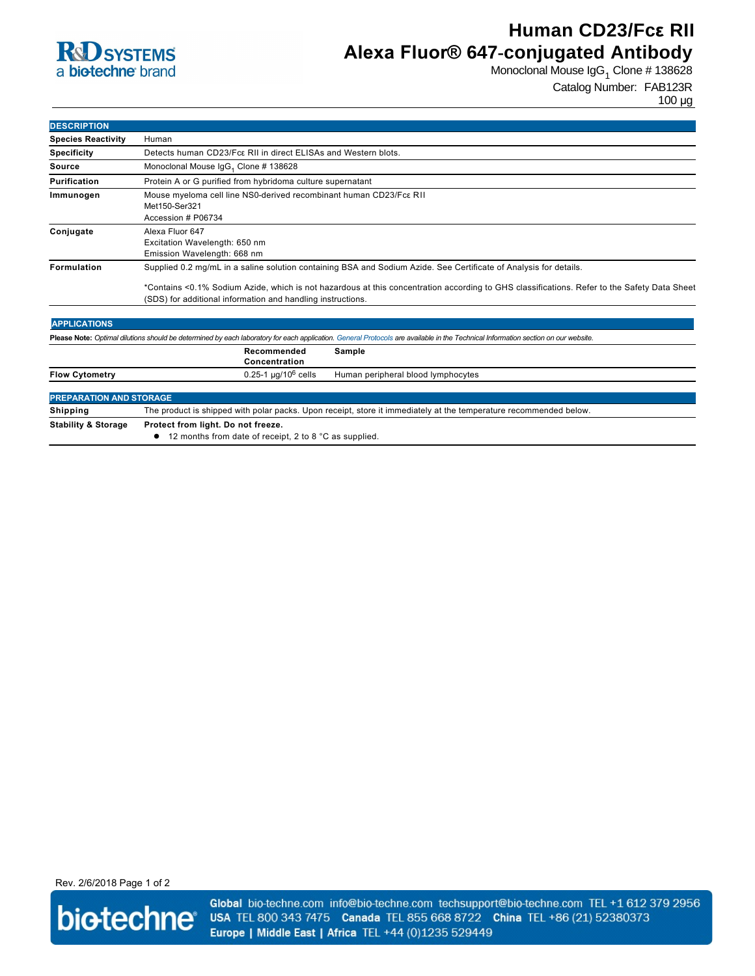## **R**d SYSTEMS a biotechne brand

# **Human CD23/Fcε RII Alexa Fluor® 647-conjugated Antibody**

Monoclonal Mouse IgG<sub>1</sub> Clone # 138628

Catalog Number: FAB123R 100 µg

| <b>DESCRIPTION</b>        |                                                                                                                                                                                                            |  |  |
|---------------------------|------------------------------------------------------------------------------------------------------------------------------------------------------------------------------------------------------------|--|--|
| <b>Species Reactivity</b> | Human                                                                                                                                                                                                      |  |  |
| <b>Specificity</b>        | Detects human CD23/Fcc RII in direct ELISAs and Western blots.                                                                                                                                             |  |  |
| Source                    | Monoclonal Mouse IgG <sub>1</sub> Clone # 138628                                                                                                                                                           |  |  |
| Purification              | Protein A or G purified from hybridoma culture supernatant                                                                                                                                                 |  |  |
| Immunogen                 | Mouse myeloma cell line NS0-derived recombinant human CD23/Fc $\epsilon$ RII<br>Met150-Ser321<br>Accession # P06734                                                                                        |  |  |
| Conjugate                 | Alexa Fluor 647<br>Excitation Wavelength: 650 nm<br>Emission Wavelength: 668 nm                                                                                                                            |  |  |
| <b>Formulation</b>        | Supplied 0.2 mg/mL in a saline solution containing BSA and Sodium Azide. See Certificate of Analysis for details.                                                                                          |  |  |
|                           | *Contains <0.1% Sodium Azide, which is not hazardous at this concentration according to GHS classifications. Refer to the Safety Data Sheet<br>(SDS) for additional information and handling instructions. |  |  |

| <b>APPLICATIONS</b>                                                                                                                                                               |                                                                                                                   |                                    |  |
|-----------------------------------------------------------------------------------------------------------------------------------------------------------------------------------|-------------------------------------------------------------------------------------------------------------------|------------------------------------|--|
| Please Note: Optimal dilutions should be determined by each laboratory for each application. General Protocols are available in the Technical Information section on our website. |                                                                                                                   |                                    |  |
|                                                                                                                                                                                   | Recommended<br>Concentration                                                                                      | Sample                             |  |
| <b>Flow Cytometry</b>                                                                                                                                                             | $0.25 - 1 \mu q / 10^6$ cells                                                                                     | Human peripheral blood lymphocytes |  |
| <b>PREPARATION AND STORAGE</b>                                                                                                                                                    |                                                                                                                   |                                    |  |
| Shipping                                                                                                                                                                          | The product is shipped with polar packs. Upon receipt, store it immediately at the temperature recommended below. |                                    |  |
| <b>Stability &amp; Storage</b>                                                                                                                                                    | Protect from light. Do not freeze.<br>12 months from date of receipt, 2 to 8 °C as supplied.                      |                                    |  |

Rev. 2/6/2018 Page 1 of 2



Global bio-techne.com info@bio-techne.com techsupport@bio-techne.com TEL +1 612 379 2956 USA TEL 800 343 7475 Canada TEL 855 668 8722 China TEL +86 (21) 52380373 Europe | Middle East | Africa TEL +44 (0)1235 529449